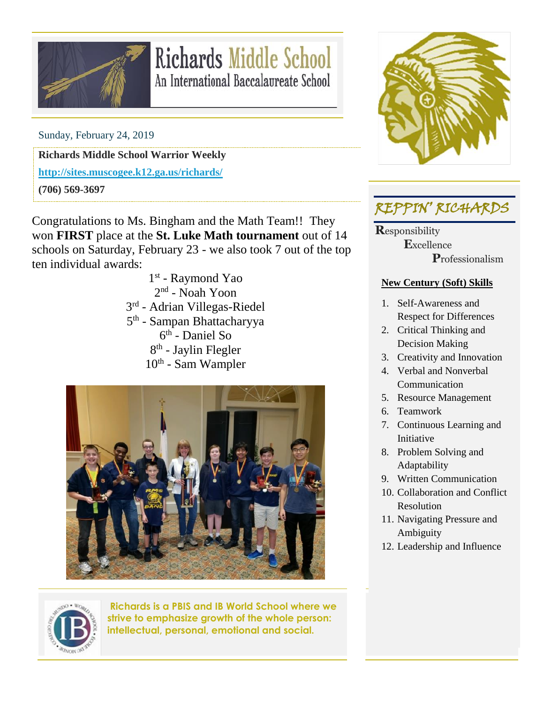

## **Richards Middle School** An International Baccalaureate School

Sunday, February 24, 2019

**Richards Middle School Warrior Weekly**

**<http://sites.muscogee.k12.ga.us/richards/>**

**(706) 569-3697**

Congratulations to Ms. Bingham and the Math Team!! They won **FIRST** place at the **St. Luke Math tournament** out of 14 schools on Saturday, February 23 - we also took 7 out of the top ten individual awards:

1st - Raymond Yao 2<sup>nd</sup> - Noah Yoon 3<sup>rd</sup> - Adrian Villegas-Riedel 5<sup>th</sup> - Sampan Bhattacharyya 6 th - Daniel So 8<sup>th</sup> - Jaylin Flegler 10<sup>th</sup> - Sam Wampler





## REPPIN' RICHARDS

**R**esponsibility  **E**xcellence  **P**rofessionalism

#### **New Century (Soft) Skills**

- 1. Self-Awareness and Respect for Differences
- 2. Critical Thinking and Decision Making
- 3. Creativity and Innovation
- 4. Verbal and Nonverbal Communication
- 5. Resource Management
- 6. Teamwork
- 7. Continuous Learning and Initiative
- 8. Problem Solving and Adaptability
- 9. Written Communication
- 10. Collaboration and Conflict Resolution
- 11. Navigating Pressure and Ambiguity
- 12. Leadership and Influence



**Richards is a PBIS and IB World School where we strive to emphasize growth of the whole person: intellectual, personal, emotional and social.**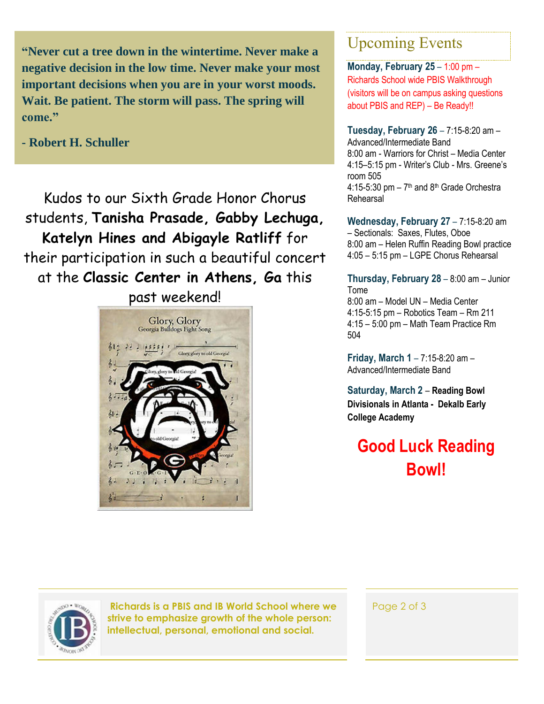**"Never cut a tree down in the wintertime. Never make a negative decision in the low time. Never make your most important decisions when you are in your worst moods. Wait. Be patient. The storm will pass. The spring will come."**

**- Robert H. Schuller**

Kudos to our Sixth Grade Honor Chorus students, **Tanisha Prasade, Gabby Lechuga, Katelyn Hines and Abigayle Ratliff** for their participation in such a beautiful concert at the **Classic Center in Athens, Ga** this

past weekend!Glory, Glory Georgia Bulldogs Fight Song Glory glory to old Georgia

### Upcoming Events

**Monday, February 25** – 1:00 pm – Richards School wide PBIS Walkthrough (visitors will be on campus asking questions about PBIS and REP) – Be Ready!!

**Tuesday, February 26** – 7:15-8:20 am – Advanced/Intermediate Band 8:00 am - Warriors for Christ – Media Center 4:15–5:15 pm - Writer's Club - Mrs. Greene's room 505  $4:15-5:30$  pm  $-7<sup>th</sup>$  and  $8<sup>th</sup>$  Grade Orchestra Rehearsal

**Wednesday, February 27** – 7:15-8:20 am – Sectionals: Saxes, Flutes, Oboe 8:00 am – Helen Ruffin Reading Bowl practice 4:05 – 5:15 pm – LGPE Chorus Rehearsal

**Thursday, February 28** – 8:00 am – Junior Tome 8:00 am – Model UN – Media Center 4:15-5:15 pm – Robotics Team – Rm 211 4:15 – 5:00 pm – Math Team Practice Rm 504

**Friday, March 1** – 7:15-8:20 am – Advanced/Intermediate Band

**Saturday, March 2** – **Reading Bowl Divisionals in Atlanta - Dekalb Early College Academy**

**Good Luck Reading Bowl!**



**Richards is a PBIS and IB World School where we strive to emphasize growth of the whole person: intellectual, personal, emotional and social.**

Page 2 of 3